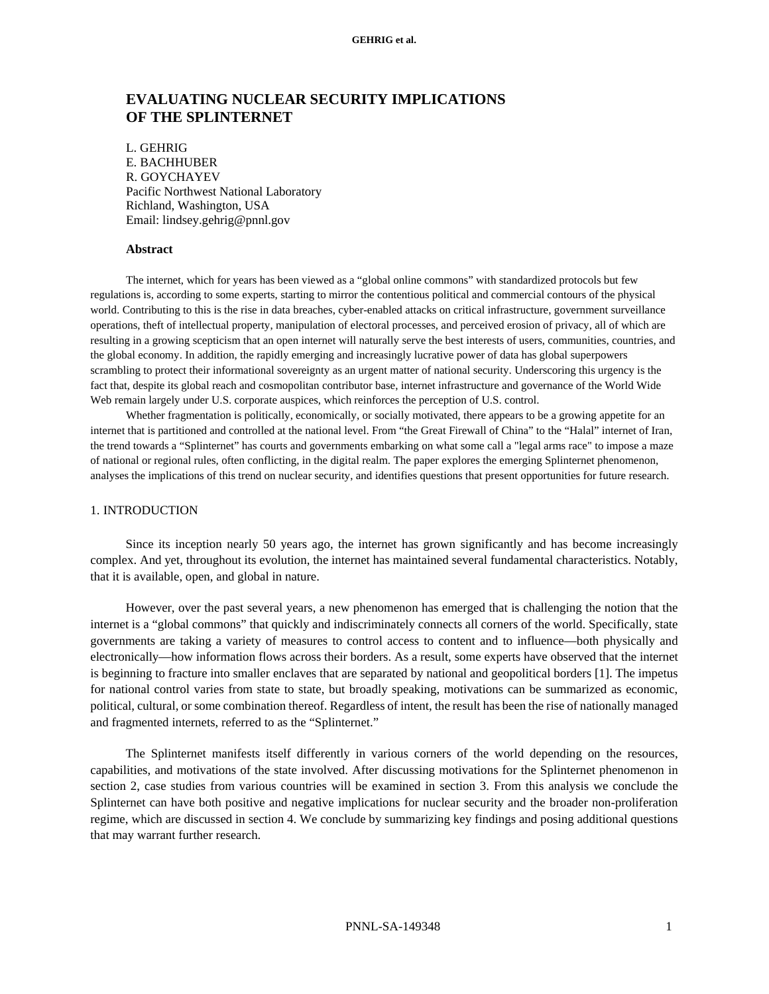# **EVALUATING NUCLEAR SECURITY IMPLICATIONS OF THE SPLINTERNET**

L. GEHRIG E. BACHHUBER R. GOYCHAYEV Pacific Northwest National Laboratory Richland, Washington, USA Email: lindsey.gehrig@pnnl.gov

# **Abstract**

The internet, which for years has been viewed as a "global online commons" with standardized protocols but few regulations is, according to some experts, starting to mirror the contentious political and commercial contours of the physical world. Contributing to this is the rise in data breaches, cyber-enabled attacks on critical infrastructure, government surveillance operations, theft of intellectual property, manipulation of electoral processes, and perceived erosion of privacy, all of which are resulting in a growing scepticism that an open internet will naturally serve the best interests of users, communities, countries, and the global economy. In addition, the rapidly emerging and increasingly lucrative power of data has global superpowers scrambling to protect their informational sovereignty as an urgent matter of national security. Underscoring this urgency is the fact that, despite its global reach and cosmopolitan contributor base, internet infrastructure and governance of the World Wide Web remain largely under U.S. corporate auspices, which reinforces the perception of U.S. control.

Whether fragmentation is politically, economically, or socially motivated, there appears to be a growing appetite for an internet that is partitioned and controlled at the national level. From "the Great Firewall of China" to the "Halal" internet of Iran, the trend towards a "Splinternet" has courts and governments embarking on what some call a "legal arms race" to impose a maze of national or regional rules, often conflicting, in the digital realm. The paper explores the emerging Splinternet phenomenon, analyses the implications of this trend on nuclear security, and identifies questions that present opportunities for future research.

# 1. INTRODUCTION

Since its inception nearly 50 years ago, the internet has grown significantly and has become increasingly complex. And yet, throughout its evolution, the internet has maintained several fundamental characteristics. Notably, that it is available, open, and global in nature.

However, over the past several years, a new phenomenon has emerged that is challenging the notion that the internet is a "global commons" that quickly and indiscriminately connects all corners of the world. Specifically, state governments are taking a variety of measures to control access to content and to influence—both physically and electronically—how information flows across their borders. As a result, some experts have observed that the internet is beginning to fracture into smaller enclaves that are separated by national and geopolitical borders [1]. The impetus for national control varies from state to state, but broadly speaking, motivations can be summarized as economic, political, cultural, or some combination thereof. Regardless of intent, the result has been the rise of nationally managed and fragmented internets, referred to as the "Splinternet."

The Splinternet manifests itself differently in various corners of the world depending on the resources, capabilities, and motivations of the state involved. After discussing motivations for the Splinternet phenomenon in section 2, case studies from various countries will be examined in section 3. From this analysis we conclude the Splinternet can have both positive and negative implications for nuclear security and the broader non-proliferation regime, which are discussed in section 4. We conclude by summarizing key findings and posing additional questions that may warrant further research.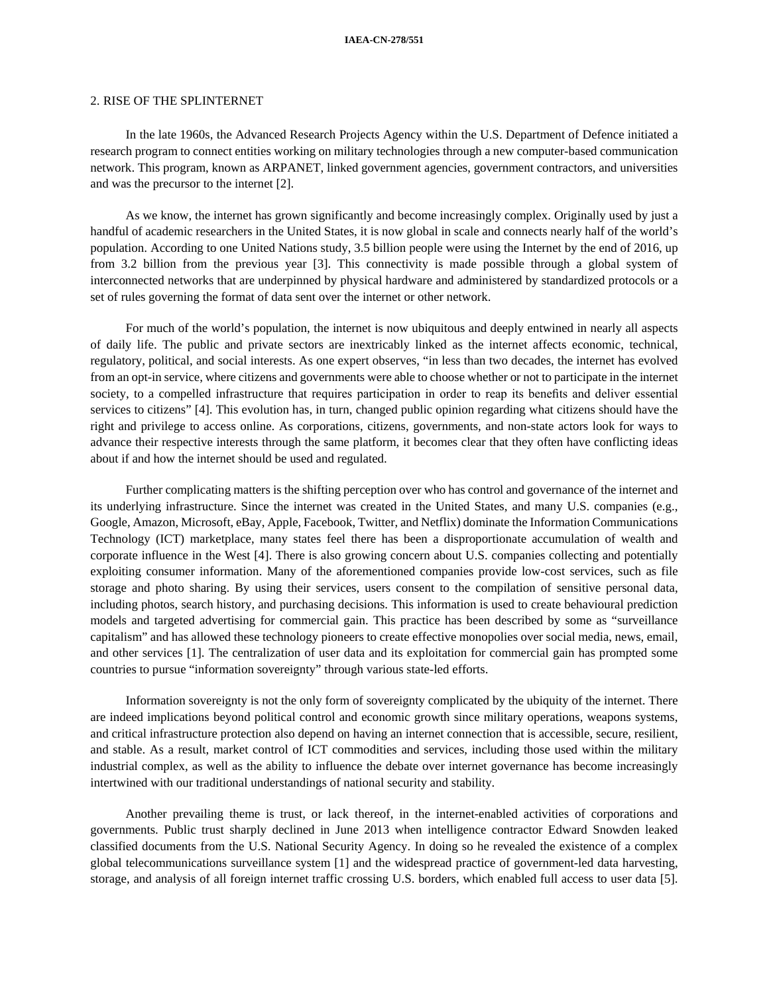#### **IAEA-CN-278/551**

#### 2. RISE OF THE SPLINTERNET

In the late 1960s, the Advanced Research Projects Agency within the U.S. Department of Defence initiated a research program to connect entities working on military technologies through a new computer-based communication network. This program, known as ARPANET, linked government agencies, government contractors, and universities and was the precursor to the internet [2].

As we know, the internet has grown significantly and become increasingly complex. Originally used by just a handful of academic researchers in the United States, it is now global in scale and connects nearly half of the world's population. According to one United Nations study, 3.5 billion people were using the Internet by the end of 2016, up from 3.2 billion from the previous year [3]. This connectivity is made possible through a global system of interconnected networks that are underpinned by physical hardware and administered by standardized protocols or a set of rules governing the format of data sent over the internet or other network.

For much of the world's population, the internet is now ubiquitous and deeply entwined in nearly all aspects of daily life. The public and private sectors are inextricably linked as the internet affects economic, technical, regulatory, political, and social interests. As one expert observes, "in less than two decades, the internet has evolved from an opt-in service, where citizens and governments were able to choose whether or not to participate in the internet society, to a compelled infrastructure that requires participation in order to reap its benefits and deliver essential services to citizens" [4]. This evolution has, in turn, changed public opinion regarding what citizens should have the right and privilege to access online. As corporations, citizens, governments, and non-state actors look for ways to advance their respective interests through the same platform, it becomes clear that they often have conflicting ideas about if and how the internet should be used and regulated.

Further complicating matters is the shifting perception over who has control and governance of the internet and its underlying infrastructure. Since the internet was created in the United States, and many U.S. companies (e.g., Google, Amazon, Microsoft, eBay, Apple, Facebook, Twitter, and Netflix) dominate the Information Communications Technology (ICT) marketplace, many states feel there has been a disproportionate accumulation of wealth and corporate influence in the West [4]. There is also growing concern about U.S. companies collecting and potentially exploiting consumer information. Many of the aforementioned companies provide low-cost services, such as file storage and photo sharing. By using their services, users consent to the compilation of sensitive personal data, including photos, search history, and purchasing decisions. This information is used to create behavioural prediction models and targeted advertising for commercial gain. This practice has been described by some as "surveillance capitalism" and has allowed these technology pioneers to create effective monopolies over social media, news, email, and other services [1]. The centralization of user data and its exploitation for commercial gain has prompted some countries to pursue "information sovereignty" through various state-led efforts.

Information sovereignty is not the only form of sovereignty complicated by the ubiquity of the internet. There are indeed implications beyond political control and economic growth since military operations, weapons systems, and critical infrastructure protection also depend on having an internet connection that is accessible, secure, resilient, and stable. As a result, market control of ICT commodities and services, including those used within the military industrial complex, as well as the ability to influence the debate over internet governance has become increasingly intertwined with our traditional understandings of national security and stability.

Another prevailing theme is trust, or lack thereof, in the internet-enabled activities of corporations and governments. Public trust sharply declined in June 2013 when intelligence contractor Edward Snowden leaked classified documents from the U.S. National Security Agency. In doing so he revealed the existence of a complex global telecommunications surveillance system [1] and the widespread practice of government-led data harvesting, storage, and analysis of all foreign internet traffic crossing U.S. borders, which enabled full access to user data [5].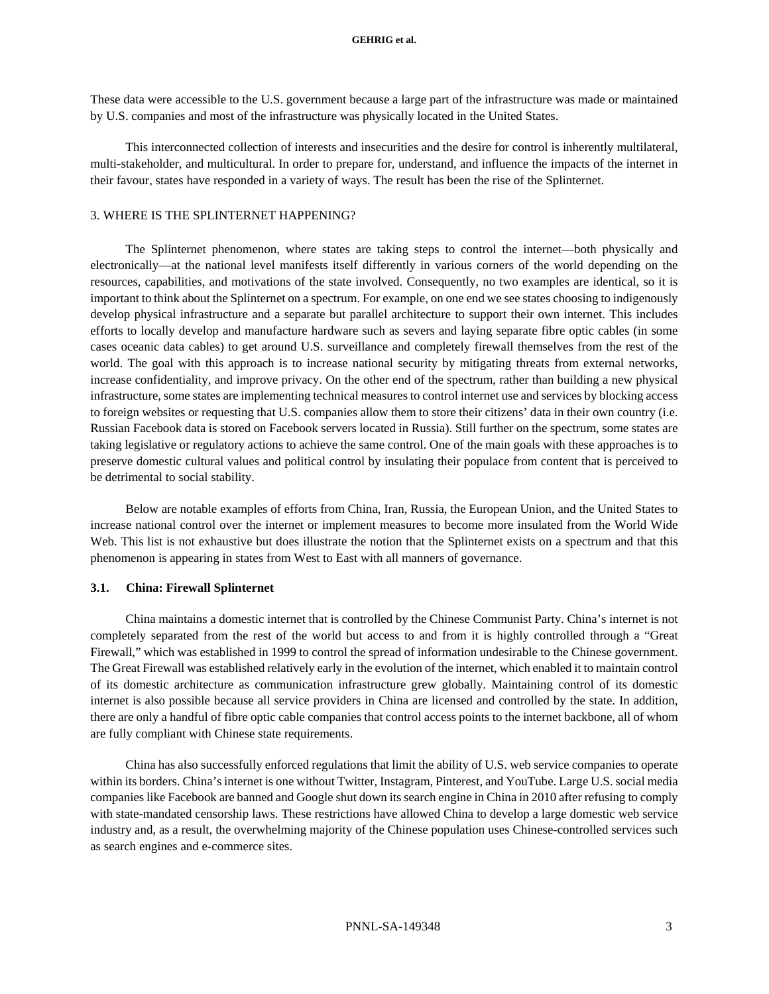These data were accessible to the U.S. government because a large part of the infrastructure was made or maintained by U.S. companies and most of the infrastructure was physically located in the United States.

This interconnected collection of interests and insecurities and the desire for control is inherently multilateral, multi-stakeholder, and multicultural. In order to prepare for, understand, and influence the impacts of the internet in their favour, states have responded in a variety of ways. The result has been the rise of the Splinternet.

# 3. WHERE IS THE SPLINTERNET HAPPENING?

The Splinternet phenomenon, where states are taking steps to control the internet—both physically and electronically—at the national level manifests itself differently in various corners of the world depending on the resources, capabilities, and motivations of the state involved. Consequently, no two examples are identical, so it is important to think about the Splinternet on a spectrum. For example, on one end we see states choosing to indigenously develop physical infrastructure and a separate but parallel architecture to support their own internet. This includes efforts to locally develop and manufacture hardware such as severs and laying separate fibre optic cables (in some cases oceanic data cables) to get around U.S. surveillance and completely firewall themselves from the rest of the world. The goal with this approach is to increase national security by mitigating threats from external networks, increase confidentiality, and improve privacy. On the other end of the spectrum, rather than building a new physical infrastructure, some states are implementing technical measures to control internet use and services by blocking access to foreign websites or requesting that U.S. companies allow them to store their citizens' data in their own country (i.e. Russian Facebook data is stored on Facebook servers located in Russia). Still further on the spectrum, some states are taking legislative or regulatory actions to achieve the same control. One of the main goals with these approaches is to preserve domestic cultural values and political control by insulating their populace from content that is perceived to be detrimental to social stability.

Below are notable examples of efforts from China, Iran, Russia, the European Union, and the United States to increase national control over the internet or implement measures to become more insulated from the World Wide Web. This list is not exhaustive but does illustrate the notion that the Splinternet exists on a spectrum and that this phenomenon is appearing in states from West to East with all manners of governance.

### **3.1. China: Firewall Splinternet**

China maintains a domestic internet that is controlled by the Chinese Communist Party. China's internet is not completely separated from the rest of the world but access to and from it is highly controlled through a "Great Firewall," which was established in 1999 to control the spread of information undesirable to the Chinese government. The Great Firewall was established relatively early in the evolution of the internet, which enabled it to maintain control of its domestic architecture as communication infrastructure grew globally. Maintaining control of its domestic internet is also possible because all service providers in China are licensed and controlled by the state. In addition, there are only a handful of fibre optic cable companies that control access points to the internet backbone, all of whom are fully compliant with Chinese state requirements.

China has also successfully enforced regulations that limit the ability of U.S. web service companies to operate within its borders. China's internet is one without Twitter, Instagram, Pinterest, and YouTube. Large U.S. social media companies like Facebook are banned and Google shut down its search engine in China in 2010 after refusing to comply with state-mandated censorship laws. These restrictions have allowed China to develop a large domestic web service industry and, as a result, the overwhelming majority of the Chinese population uses Chinese-controlled services such as search engines and e-commerce sites.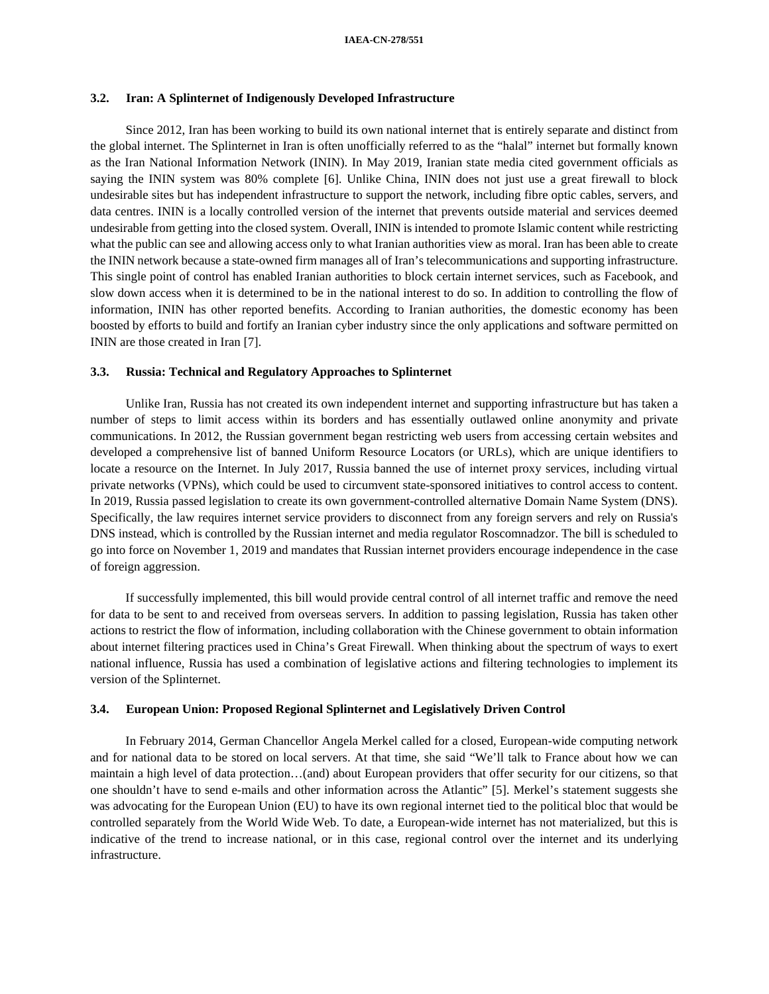## **3.2. Iran: A Splinternet of Indigenously Developed Infrastructure**

Since 2012, Iran has been working to build its own national internet that is entirely separate and distinct from the global internet. The Splinternet in Iran is often unofficially referred to as the "halal" internet but formally known as the Iran National Information Network (ININ). In May 2019, Iranian state media cited government officials as saying the ININ system was 80% complete [6]. Unlike China, ININ does not just use a great firewall to block undesirable sites but has independent infrastructure to support the network, including fibre optic cables, servers, and data centres. ININ is a locally controlled version of the internet that prevents outside material and services deemed undesirable from getting into the closed system. Overall, ININ is intended to promote Islamic content while restricting what the public can see and allowing access only to what Iranian authorities view as moral. Iran has been able to create the ININ network because a state-owned firm manages all of Iran's telecommunications and supporting infrastructure. This single point of control has enabled Iranian authorities to block certain internet services, such as Facebook, and slow down access when it is determined to be in the national interest to do so. In addition to controlling the flow of information, ININ has other reported benefits. According to Iranian authorities, the domestic economy has been boosted by efforts to build and fortify an Iranian cyber industry since the only applications and software permitted on ININ are those created in Iran [7].

# **3.3. Russia: Technical and Regulatory Approaches to Splinternet**

Unlike Iran, Russia has not created its own independent internet and supporting infrastructure but has taken a number of steps to limit access within its borders and has essentially outlawed online anonymity and private communications. In 2012, the Russian government began restricting web users from accessing certain websites and developed a comprehensive list of banned Uniform Resource Locators (or URLs), which are unique identifiers to locate a resource on the Internet. In July 2017, Russia banned the use of internet proxy services, including virtual private networks (VPNs), which could be used to circumvent state-sponsored initiatives to control access to content. In 2019, Russia passed legislation to create its own government-controlled alternative Domain Name System (DNS). Specifically, the law requires internet service providers to disconnect from any foreign servers and rely on Russia's DNS instead, which is controlled by the Russian internet and media regulator Roscomnadzor. The bill is scheduled to go into force on November 1, 2019 and mandates that Russian internet providers encourage independence in the case of foreign aggression.

If successfully implemented, this bill would provide central control of all internet traffic and remove the need for data to be sent to and received from overseas servers. In addition to passing legislation, Russia has taken other actions to restrict the flow of information, including collaboration with the Chinese government to obtain information about internet filtering practices used in China's Great Firewall. When thinking about the spectrum of ways to exert national influence, Russia has used a combination of legislative actions and filtering technologies to implement its version of the Splinternet.

### **3.4. European Union: Proposed Regional Splinternet and Legislatively Driven Control**

In February 2014, German Chancellor Angela Merkel called for a closed, European-wide computing network and for national data to be stored on local servers. At that time, she said "We'll talk to France about how we can maintain a high level of data protection…(and) about European providers that offer security for our citizens, so that one shouldn't have to send e-mails and other information across the Atlantic" [5]. Merkel's statement suggests she was advocating for the European Union (EU) to have its own regional internet tied to the political bloc that would be controlled separately from the World Wide Web. To date, a European-wide internet has not materialized, but this is indicative of the trend to increase national, or in this case, regional control over the internet and its underlying infrastructure.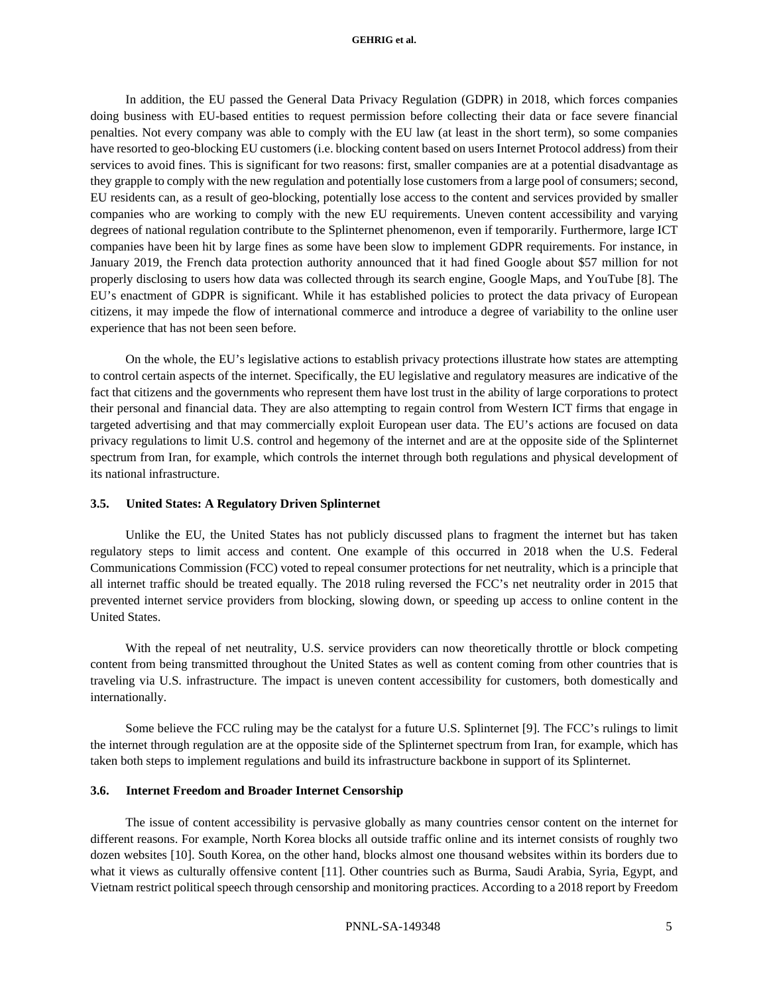# **GEHRIG et al.**

In addition, the EU passed the General Data Privacy Regulation (GDPR) in 2018, which forces companies doing business with EU-based entities to request permission before collecting their data or face severe financial penalties. Not every company was able to comply with the EU law (at least in the short term), so some companies have resorted to geo-blocking EU customers (i.e. blocking content based on users Internet Protocol address) from their services to avoid fines. This is significant for two reasons: first, smaller companies are at a potential disadvantage as they grapple to comply with the new regulation and potentially lose customers from a large pool of consumers; second, EU residents can, as a result of geo-blocking, potentially lose access to the content and services provided by smaller companies who are working to comply with the new EU requirements. Uneven content accessibility and varying degrees of national regulation contribute to the Splinternet phenomenon, even if temporarily. Furthermore, large ICT companies have been hit by large fines as some have been slow to implement GDPR requirements. For instance, in January 2019, the French data protection authority announced that it had fined Google about \$57 million for not properly disclosing to users how data was collected through its search engine, Google Maps, and YouTube [8]. The EU's enactment of GDPR is significant. While it has established policies to protect the data privacy of European citizens, it may impede the flow of international commerce and introduce a degree of variability to the online user experience that has not been seen before.

On the whole, the EU's legislative actions to establish privacy protections illustrate how states are attempting to control certain aspects of the internet. Specifically, the EU legislative and regulatory measures are indicative of the fact that citizens and the governments who represent them have lost trust in the ability of large corporations to protect their personal and financial data. They are also attempting to regain control from Western ICT firms that engage in targeted advertising and that may commercially exploit European user data. The EU's actions are focused on data privacy regulations to limit U.S. control and hegemony of the internet and are at the opposite side of the Splinternet spectrum from Iran, for example, which controls the internet through both regulations and physical development of its national infrastructure.

# **3.5. United States: A Regulatory Driven Splinternet**

Unlike the EU, the United States has not publicly discussed plans to fragment the internet but has taken regulatory steps to limit access and content. One example of this occurred in 2018 when the U.S. Federal Communications Commission (FCC) voted to repeal consumer protections for net neutrality, which is a principle that all internet traffic should be treated equally. The 2018 ruling reversed the FCC's net neutrality order in 2015 that prevented internet service providers from blocking, slowing down, or speeding up access to online content in the United States.

With the repeal of net neutrality, U.S. service providers can now theoretically throttle or block competing content from being transmitted throughout the United States as well as content coming from other countries that is traveling via U.S. infrastructure. The impact is uneven content accessibility for customers, both domestically and internationally.

Some believe the FCC ruling may be the catalyst for a future U.S. Splinternet [9]. The FCC's rulings to limit the internet through regulation are at the opposite side of the Splinternet spectrum from Iran, for example, which has taken both steps to implement regulations and build its infrastructure backbone in support of its Splinternet.

#### **3.6. Internet Freedom and Broader Internet Censorship**

The issue of content accessibility is pervasive globally as many countries censor content on the internet for different reasons. For example, North Korea blocks all outside traffic online and its internet consists of roughly two dozen websites [10]. South Korea, on the other hand, blocks almost one thousand websites within its borders due to what it views as culturally offensive content [11]. Other countries such as Burma, Saudi Arabia, Syria, Egypt, and Vietnam restrict political speech through censorship and monitoring practices. According to a 2018 report by Freedom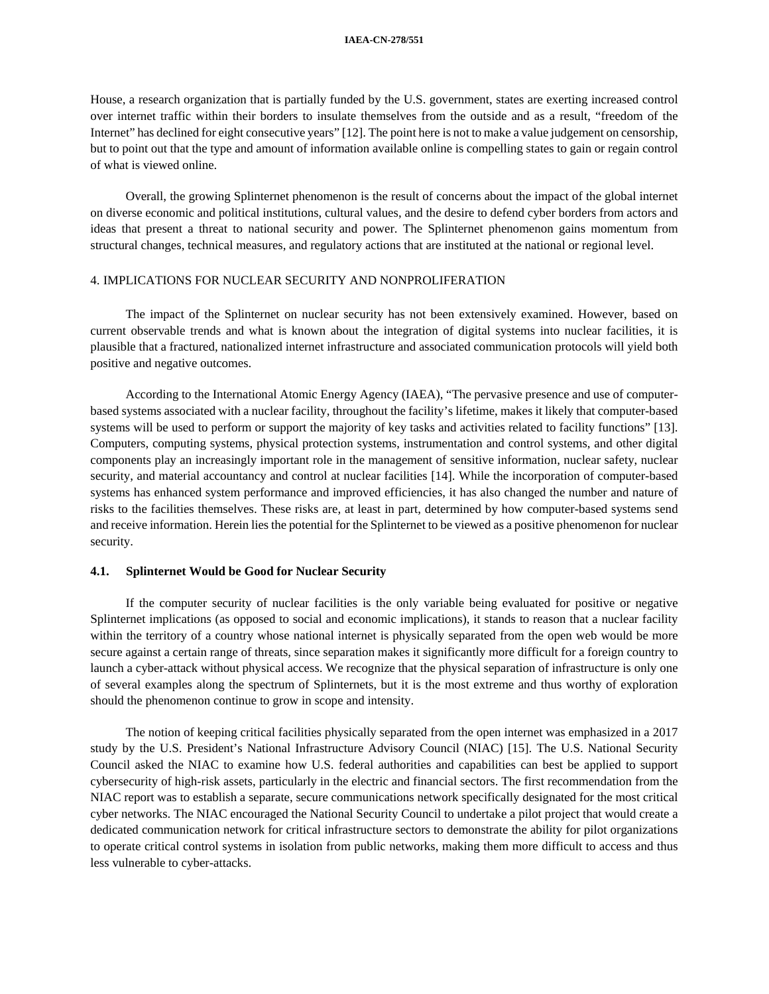House, a research organization that is partially funded by the U.S. government, states are exerting increased control over internet traffic within their borders to insulate themselves from the outside and as a result, "freedom of the Internet" has declined for eight consecutive years" [12]. The point here is not to make a value judgement on censorship, but to point out that the type and amount of information available online is compelling states to gain or regain control of what is viewed online.

Overall, the growing Splinternet phenomenon is the result of concerns about the impact of the global internet on diverse economic and political institutions, cultural values, and the desire to defend cyber borders from actors and ideas that present a threat to national security and power. The Splinternet phenomenon gains momentum from structural changes, technical measures, and regulatory actions that are instituted at the national or regional level.

# 4. IMPLICATIONS FOR NUCLEAR SECURITY AND NONPROLIFERATION

The impact of the Splinternet on nuclear security has not been extensively examined. However, based on current observable trends and what is known about the integration of digital systems into nuclear facilities, it is plausible that a fractured, nationalized internet infrastructure and associated communication protocols will yield both positive and negative outcomes.

According to the International Atomic Energy Agency (IAEA), "The pervasive presence and use of computerbased systems associated with a nuclear facility, throughout the facility's lifetime, makes it likely that computer-based systems will be used to perform or support the majority of key tasks and activities related to facility functions" [13]. Computers, computing systems, physical protection systems, instrumentation and control systems, and other digital components play an increasingly important role in the management of sensitive information, nuclear safety, nuclear security, and material accountancy and control at nuclear facilities [14]. While the incorporation of computer-based systems has enhanced system performance and improved efficiencies, it has also changed the number and nature of risks to the facilities themselves. These risks are, at least in part, determined by how computer-based systems send and receive information. Herein lies the potential for the Splinternet to be viewed as a positive phenomenon for nuclear security.

### **4.1. Splinternet Would be Good for Nuclear Security**

If the computer security of nuclear facilities is the only variable being evaluated for positive or negative Splinternet implications (as opposed to social and economic implications), it stands to reason that a nuclear facility within the territory of a country whose national internet is physically separated from the open web would be more secure against a certain range of threats, since separation makes it significantly more difficult for a foreign country to launch a cyber-attack without physical access. We recognize that the physical separation of infrastructure is only one of several examples along the spectrum of Splinternets, but it is the most extreme and thus worthy of exploration should the phenomenon continue to grow in scope and intensity.

The notion of keeping critical facilities physically separated from the open internet was emphasized in a 2017 study by the U.S. President's National Infrastructure Advisory Council (NIAC) [15]. The U.S. National Security Council asked the NIAC to examine how U.S. federal authorities and capabilities can best be applied to support cybersecurity of high-risk assets, particularly in the electric and financial sectors. The first recommendation from the NIAC report was to establish a separate, secure communications network specifically designated for the most critical cyber networks. The NIAC encouraged the National Security Council to undertake a pilot project that would create a dedicated communication network for critical infrastructure sectors to demonstrate the ability for pilot organizations to operate critical control systems in isolation from public networks, making them more difficult to access and thus less vulnerable to cyber-attacks.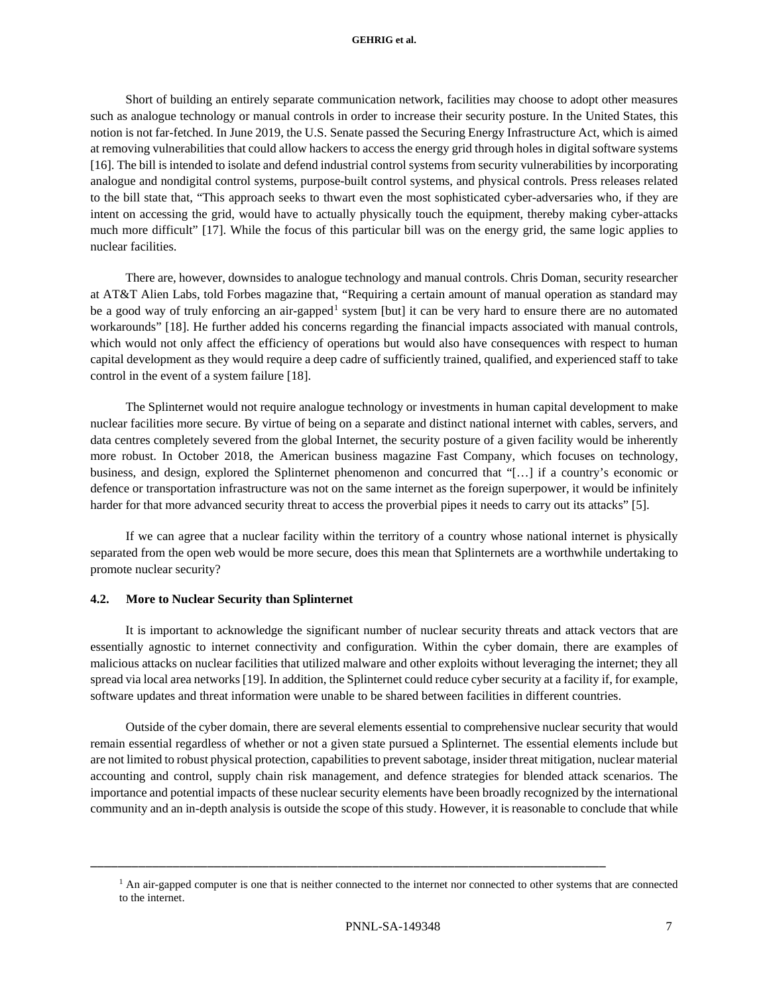# **GEHRIG et al.**

Short of building an entirely separate communication network, facilities may choose to adopt other measures such as analogue technology or manual controls in order to increase their security posture. In the United States, this notion is not far-fetched. In June 2019, the U.S. Senate passed the Securing Energy Infrastructure Act, which is aimed at removing vulnerabilities that could allow hackers to access the energy grid through holes in digital software systems [16]. The bill is intended to isolate and defend industrial control systems from security vulnerabilities by incorporating analogue and nondigital control systems, purpose-built control systems, and physical controls. Press releases related to the bill state that, "This approach seeks to thwart even the most sophisticated cyber-adversaries who, if they are intent on accessing the grid, would have to actually physically touch the equipment, thereby making cyber-attacks much more difficult" [17]. While the focus of this particular bill was on the energy grid, the same logic applies to nuclear facilities.

There are, however, downsides to analogue technology and manual controls. Chris Doman, security researcher at AT&T Alien Labs, told Forbes magazine that, "Requiring a certain amount of manual operation as standard may be a good way of truly enforcing an air-gapped<sup>[1](#page-6-0)</sup> system [but] it can be very hard to ensure there are no automated workarounds" [18]. He further added his concerns regarding the financial impacts associated with manual controls, which would not only affect the efficiency of operations but would also have consequences with respect to human capital development as they would require a deep cadre of sufficiently trained, qualified, and experienced staff to take control in the event of a system failure [18].

The Splinternet would not require analogue technology or investments in human capital development to make nuclear facilities more secure. By virtue of being on a separate and distinct national internet with cables, servers, and data centres completely severed from the global Internet, the security posture of a given facility would be inherently more robust. In October 2018, the American business magazine Fast Company, which focuses on technology, business, and design, explored the Splinternet phenomenon and concurred that "[…] if a country's economic or defence or transportation infrastructure was not on the same internet as the foreign superpower, it would be infinitely harder for that more advanced security threat to access the proverbial pipes it needs to carry out its attacks" [5].

If we can agree that a nuclear facility within the territory of a country whose national internet is physically separated from the open web would be more secure, does this mean that Splinternets are a worthwhile undertaking to promote nuclear security?

### **4.2. More to Nuclear Security than Splinternet**

It is important to acknowledge the significant number of nuclear security threats and attack vectors that are essentially agnostic to internet connectivity and configuration. Within the cyber domain, there are examples of malicious attacks on nuclear facilities that utilized malware and other exploits without leveraging the internet; they all spread via local area networks [19]. In addition, the Splinternet could reduce cyber security at a facility if, for example, software updates and threat information were unable to be shared between facilities in different countries.

Outside of the cyber domain, there are several elements essential to comprehensive nuclear security that would remain essential regardless of whether or not a given state pursued a Splinternet. The essential elements include but are not limited to robust physical protection, capabilities to prevent sabotage, insider threat mitigation, nuclear material accounting and control, supply chain risk management, and defence strategies for blended attack scenarios. The importance and potential impacts of these nuclear security elements have been broadly recognized by the international community and an in-depth analysis is outside the scope of this study. However, it is reasonable to conclude that while

<span id="page-6-0"></span>\_\_\_\_\_\_\_\_\_\_\_\_\_\_\_\_\_\_\_\_\_\_\_\_\_\_\_\_\_\_\_\_\_\_\_\_\_\_\_\_\_\_\_\_\_\_\_\_\_\_\_\_\_\_\_\_\_\_\_\_\_\_\_\_\_\_\_\_\_\_\_\_\_\_\_

<sup>&</sup>lt;sup>1</sup> An air-gapped computer is one that is neither connected to the internet nor connected to other systems that are connected to the internet.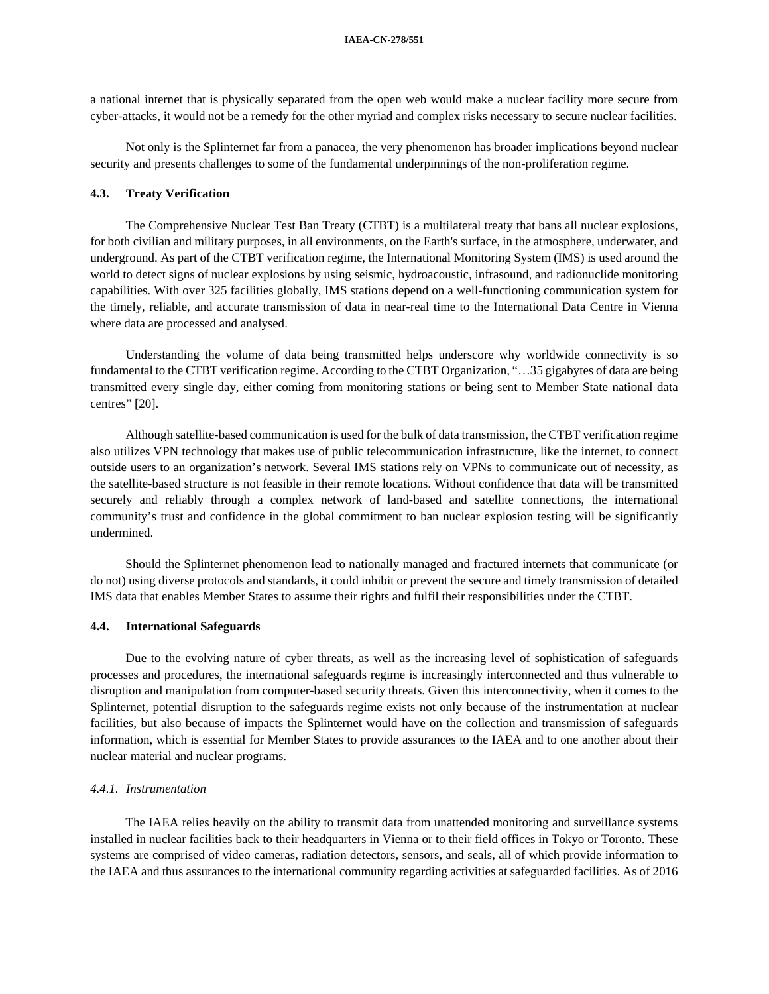a national internet that is physically separated from the open web would make a nuclear facility more secure from cyber-attacks, it would not be a remedy for the other myriad and complex risks necessary to secure nuclear facilities.

Not only is the Splinternet far from a panacea, the very phenomenon has broader implications beyond nuclear security and presents challenges to some of the fundamental underpinnings of the non-proliferation regime.

### **4.3. Treaty Verification**

The Comprehensive Nuclear Test Ban Treaty (CTBT) is a multilateral treaty that bans all nuclear explosions, for both civilian and military purposes, in all environments, on the Earth's surface, in the atmosphere, underwater, and underground. As part of the CTBT verification regime, the International Monitoring System (IMS) is used around the world to detect signs of nuclear explosions by using seismic, hydroacoustic, infrasound, and radionuclide monitoring capabilities. With over 325 facilities globally, IMS stations depend on a well-functioning communication system for the timely, reliable, and accurate transmission of data in near-real time to the International Data Centre in Vienna where data are processed and analysed.

Understanding the volume of data being transmitted helps underscore why worldwide connectivity is so fundamental to the CTBT verification regime. According to the CTBT Organization, "…35 gigabytes of data are being transmitted every single day, either coming from monitoring stations or being sent to Member State national data centres" [20].

Although satellite-based communication is used for the bulk of data transmission, the CTBT verification regime also utilizes VPN technology that makes use of public telecommunication infrastructure, like the internet, to connect outside users to an organization's network. Several IMS stations rely on VPNs to communicate out of necessity, as the satellite-based structure is not feasible in their remote locations. Without confidence that data will be transmitted securely and reliably through a complex network of land-based and satellite connections, the international community's trust and confidence in the global commitment to ban nuclear explosion testing will be significantly undermined.

Should the Splinternet phenomenon lead to nationally managed and fractured internets that communicate (or do not) using diverse protocols and standards, it could inhibit or prevent the secure and timely transmission of detailed IMS data that enables Member States to assume their rights and fulfil their responsibilities under the CTBT.

## **4.4. International Safeguards**

Due to the evolving nature of cyber threats, as well as the increasing level of sophistication of safeguards processes and procedures, the international safeguards regime is increasingly interconnected and thus vulnerable to disruption and manipulation from computer-based security threats. Given this interconnectivity, when it comes to the Splinternet, potential disruption to the safeguards regime exists not only because of the instrumentation at nuclear facilities, but also because of impacts the Splinternet would have on the collection and transmission of safeguards information, which is essential for Member States to provide assurances to the IAEA and to one another about their nuclear material and nuclear programs.

# *4.4.1. Instrumentation*

The IAEA relies heavily on the ability to transmit data from unattended monitoring and surveillance systems installed in nuclear facilities back to their headquarters in Vienna or to their field offices in Tokyo or Toronto. These systems are comprised of video cameras, radiation detectors, sensors, and seals, all of which provide information to the IAEA and thus assurances to the international community regarding activities at safeguarded facilities. As of 2016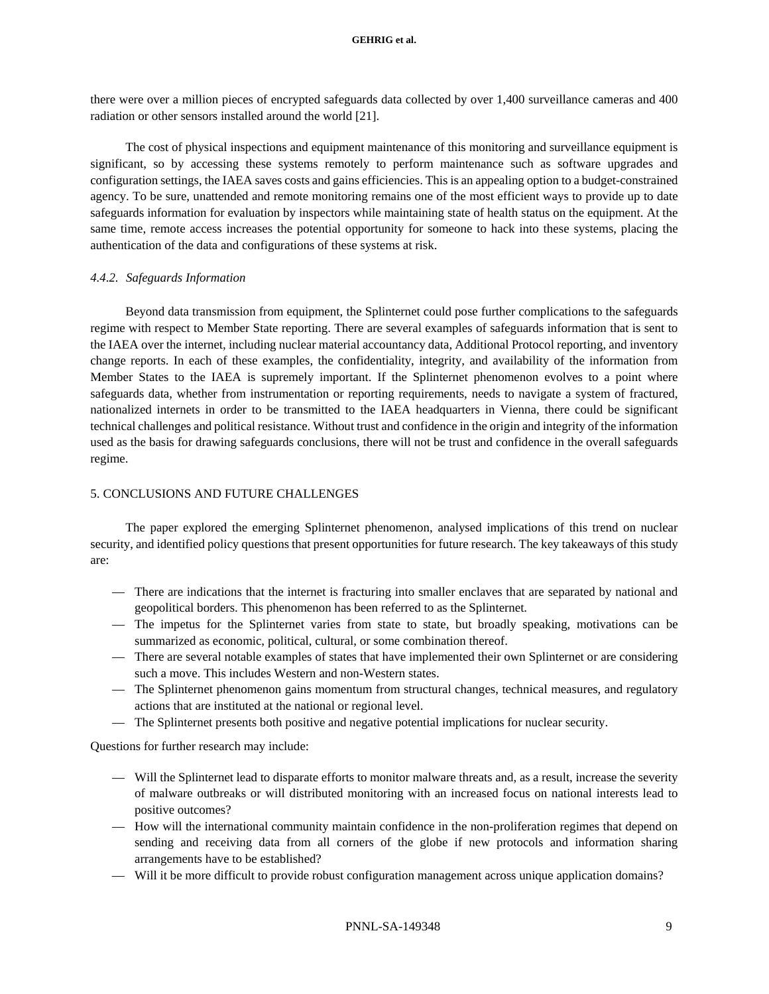there were over a million pieces of encrypted safeguards data collected by over 1,400 surveillance cameras and 400 radiation or other sensors installed around the world [21].

The cost of physical inspections and equipment maintenance of this monitoring and surveillance equipment is significant, so by accessing these systems remotely to perform maintenance such as software upgrades and configuration settings, the IAEA saves costs and gains efficiencies. This is an appealing option to a budget-constrained agency. To be sure, unattended and remote monitoring remains one of the most efficient ways to provide up to date safeguards information for evaluation by inspectors while maintaining state of health status on the equipment. At the same time, remote access increases the potential opportunity for someone to hack into these systems, placing the authentication of the data and configurations of these systems at risk.

# *4.4.2. Safeguards Information*

Beyond data transmission from equipment, the Splinternet could pose further complications to the safeguards regime with respect to Member State reporting. There are several examples of safeguards information that is sent to the IAEA over the internet, including nuclear material accountancy data, Additional Protocol reporting, and inventory change reports. In each of these examples, the confidentiality, integrity, and availability of the information from Member States to the IAEA is supremely important. If the Splinternet phenomenon evolves to a point where safeguards data, whether from instrumentation or reporting requirements, needs to navigate a system of fractured, nationalized internets in order to be transmitted to the IAEA headquarters in Vienna, there could be significant technical challenges and political resistance. Without trust and confidence in the origin and integrity of the information used as the basis for drawing safeguards conclusions, there will not be trust and confidence in the overall safeguards regime.

# 5. CONCLUSIONS AND FUTURE CHALLENGES

The paper explored the emerging Splinternet phenomenon, analysed implications of this trend on nuclear security, and identified policy questions that present opportunities for future research. The key takeaways of this study are:

- There are indications that the internet is fracturing into smaller enclaves that are separated by national and geopolitical borders. This phenomenon has been referred to as the Splinternet.
- The impetus for the Splinternet varies from state to state, but broadly speaking, motivations can be summarized as economic, political, cultural, or some combination thereof.
- There are several notable examples of states that have implemented their own Splinternet or are considering such a move. This includes Western and non-Western states.
- The Splinternet phenomenon gains momentum from structural changes, technical measures, and regulatory actions that are instituted at the national or regional level.
- The Splinternet presents both positive and negative potential implications for nuclear security.

Questions for further research may include:

- Will the Splinternet lead to disparate efforts to monitor malware threats and, as a result, increase the severity of malware outbreaks or will distributed monitoring with an increased focus on national interests lead to positive outcomes?
- How will the international community maintain confidence in the non-proliferation regimes that depend on sending and receiving data from all corners of the globe if new protocols and information sharing arrangements have to be established?
- Will it be more difficult to provide robust configuration management across unique application domains?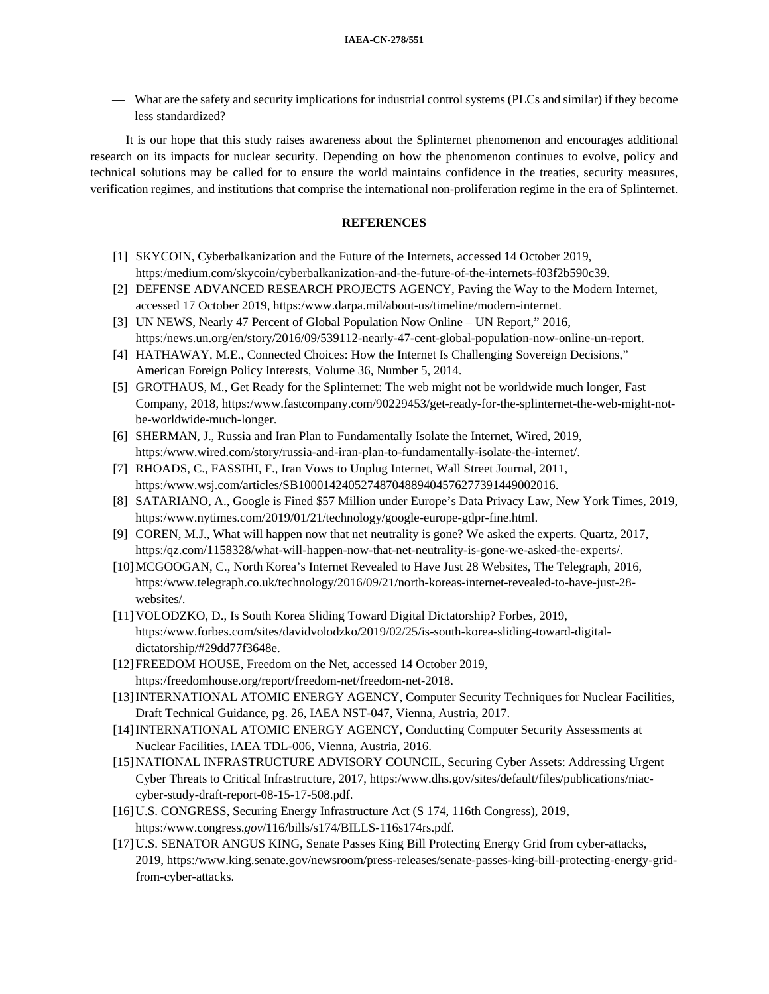— What are the safety and security implications for industrial control systems (PLCs and similar) if they become less standardized?

It is our hope that this study raises awareness about the Splinternet phenomenon and encourages additional research on its impacts for nuclear security. Depending on how the phenomenon continues to evolve, policy and technical solutions may be called for to ensure the world maintains confidence in the treaties, security measures, verification regimes, and institutions that comprise the international non-proliferation regime in the era of Splinternet.

# **REFERENCES**

- [1] SKYCOIN, Cyberbalkanization and the Future of the Internets, accessed 14 October 2019, [https:/medium.com/skycoin/cyberbalkanization-and-the-future-of-the-internets-f03f2b590c39.](https://medium.com/skycoin/cyberbalkanization-and-the-future-of-the-internets-f03f2b590c39)
- [2] DEFENSE ADVANCED RESEARCH PROJECTS AGENCY, Paving the Way to the Modern Internet, accessed 17 October 2019[, https:/www.darpa.mil/about-us/timeline/modern-internet.](https://www.darpa.mil/about-us/timeline/modern-internet)
- [3] UN NEWS, Nearly 47 Percent of Global Population Now Online UN Report," 2016, [https:/news.un.org/en/story/2016/09/539112-nearly-47-cent-global-population-now-online-un-report.](https://news.un.org/en/story/2016/09/539112-nearly-47-cent-global-population-now-online-un-report)
- [4] HATHAWAY, M.E., Connected Choices: How the Internet Is Challenging Sovereign Decisions," American Foreign Policy Interests, Volume 36, Number 5, 2014.
- [5] [GROTHAUS,](https://www.fastcompany.com/user/michael-grothaus) M., Get Ready for the Splinternet: The web might not be worldwide much longer, Fast Company, 2018, [https:/www.fastcompany.com/90229453/get-ready-for-the-splinternet-the-web-might-not](https://www.fastcompany.com/90229453/get-ready-for-the-splinternet-the-web-might-not-be-worldwide-much-longer)[be-worldwide-much-longer.](https://www.fastcompany.com/90229453/get-ready-for-the-splinternet-the-web-might-not-be-worldwide-much-longer)
- [6] SHERMAN, J., Russia and Iran Plan to Fundamentally Isolate the Internet, Wired, 2019, [https:/www.wired.com/story/russia-and-iran-plan-to-fundamentally-isolate-the-internet/.](https://www.wired.com/story/russia-and-iran-plan-to-fundamentally-isolate-the-internet/)
- [7] RHOADS, C., FASSIHI, F., Iran Vows to Unplug Internet, Wall Street Journal, 2011, [https:/www.wsj.com/articles/SB10001424052748704889404576277391449002016.](https://www.wsj.com/articles/SB10001424052748704889404576277391449002016)
- [8] [SATARIANO,](https://www.nytimes.com/by/adam-satariano) A., Google is Fined \$57 Million under Europe's Data Privacy Law, New York Times, 2019, [https:/www.nytimes.com/2019/01/21/technology/google-europe-gdpr-fine.html.](https://www.nytimes.com/2019/01/21/technology/google-europe-gdpr-fine.html)
- [9] COREN, M.J., What will happen now that net neutrality is gone? We asked the experts. Quartz, 2017, [https:/qz.com/1158328/what-will-happen-now-that-net-neutrality-is-gone-we-asked-the-experts/.](https://qz.com/1158328/what-will-happen-now-that-net-neutrality-is-gone-we-asked-the-experts/)
- [10]MCGOOGAN, C., North Korea's Internet Revealed to Have Just 28 Websites, The Telegraph, 2016, [https:/www.telegraph.co.uk/technology/2016/09/21/north-koreas-internet-revealed-to-have-just-28](https://www.telegraph.co.uk/technology/2016/09/21/north-koreas-internet-revealed-to-have-just-28-websites/) [websites/.](https://www.telegraph.co.uk/technology/2016/09/21/north-koreas-internet-revealed-to-have-just-28-websites/)
- [11[\]VOLODZKO,](https://www.forbes.com/sites/davidvolodzko/) D., Is South Korea Sliding Toward Digital Dictatorship? Forbes, 2019, [https:/www.forbes.com/sites/davidvolodzko/2019/02/25/is-south-korea-sliding-toward-digital](https://www.forbes.com/sites/davidvolodzko/2019/02/25/is-south-korea-sliding-toward-digital-dictatorship/#29dd77f3648e)[dictatorship/#29dd77f3648e.](https://www.forbes.com/sites/davidvolodzko/2019/02/25/is-south-korea-sliding-toward-digital-dictatorship/#29dd77f3648e)
- [12] FREEDOM HOUSE, Freedom on the Net, accessed 14 October 2019, [https:/freedomhouse.org/report/freedom-net/freedom-net-2018.](https://freedomhouse.org/report/freedom-net/freedom-net-2018)
- [13]INTERNATIONAL ATOMIC ENERGY AGENCY, Computer Security Techniques for Nuclear Facilities, Draft Technical Guidance, pg. 26, IAEA NST-047, Vienna, Austria, 2017.
- [14]INTERNATIONAL ATOMIC ENERGY AGENCY, Conducting Computer Security Assessments at Nuclear Facilities, IAEA TDL-006, Vienna, Austria, 2016.
- [15]NATIONAL INFRASTRUCTURE ADVISORY COUNCIL, Securing Cyber Assets: Addressing Urgent Cyber Threats to Critical Infrastructure, 2017[, https:/www.dhs.gov/sites/default/files/publications/niac](https://www.dhs.gov/sites/default/files/publications/niac-cyber-study-draft-report-08-15-17-508.pdf)[cyber-study-draft-report-08-15-17-508.pdf.](https://www.dhs.gov/sites/default/files/publications/niac-cyber-study-draft-report-08-15-17-508.pdf)
- [16]U.S. CONGRESS, Securing Energy Infrastructure Act (S 174, 116th Congress), 2019, https:/www.congress.*gov*[/116/bills/s174/BILLS-116s174rs.pdf.](https://www.congress.gov/116/bills/s174/BILLS-116s174rs.pdf)
- [17]U.S. SENATOR ANGUS KING, Senate Passes King Bill Protecting Energy Grid from cyber-attacks, 2019, [https:/www.king.senate.gov/newsroom/press-releases/senate-passes-king-bill-protecting-energy-grid](https://www.king.senate.gov/newsroom/press-releases/senate-passes-king-bill-protecting-energy-grid-from-cyber-attacks)[from-cyber-attacks.](https://www.king.senate.gov/newsroom/press-releases/senate-passes-king-bill-protecting-energy-grid-from-cyber-attacks)